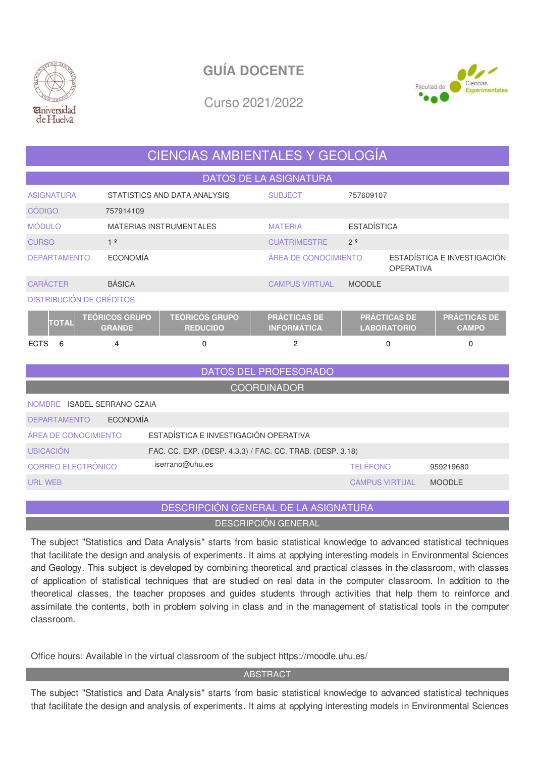



Curso 2021/2022

# CIENCIAS AMBIENTALES Y GEOLOGÍA

| <b>DATOS DE LA ASIGNATURA</b>                                                 |                              |                                          |                                           |                       |                                           |                                     |  |  |  |  |  |
|-------------------------------------------------------------------------------|------------------------------|------------------------------------------|-------------------------------------------|-----------------------|-------------------------------------------|-------------------------------------|--|--|--|--|--|
| <b>ASIGNATURA</b>                                                             | STATISTICS AND DATA ANALYSIS | <b>SUBJECT</b>                           | 757609107                                 |                       |                                           |                                     |  |  |  |  |  |
| <b>CÓDIGO</b>                                                                 | 757914109                    |                                          |                                           |                       |                                           |                                     |  |  |  |  |  |
| <b>MÓDULO</b>                                                                 |                              | <b>MATERIAS INSTRUMENTALES</b>           | <b>MATERIA</b>                            | <b>ESTADÍSTICA</b>    |                                           |                                     |  |  |  |  |  |
| <b>CURSO</b>                                                                  | 1 <sup>°</sup>               |                                          | <b>CUATRIMESTRE</b>                       | 2 <sup>°</sup>        |                                           |                                     |  |  |  |  |  |
| <b>DEPARTAMENTO</b>                                                           | <b>ECONOMÍA</b>              |                                          | <b>ÁREA DE CONOCIMIENTO</b>               |                       | <b>OPERATIVA</b>                          | ESTADÍSTICA E INVESTIGACIÓN         |  |  |  |  |  |
| <b>CARÁCTER</b>                                                               | <b>BÁSICA</b>                |                                          | <b>CAMPUS VIRTUAL</b>                     | <b>MOODLE</b>         |                                           |                                     |  |  |  |  |  |
| <b>DISTRIBUCIÓN DE CRÉDITOS</b>                                               |                              |                                          |                                           |                       |                                           |                                     |  |  |  |  |  |
| <b>TEÓRICOS GRUPO</b><br><b>TOTAL</b><br><b>GRANDE</b>                        |                              | <b>TEÓRICOS GRUPO</b><br><b>REDUCIDO</b> | <b>PRÁCTICAS DE</b><br><b>INFORMÁTICA</b> |                       | <b>PRÁCTICAS DE</b><br><b>LABORATORIO</b> | <b>PRÁCTICAS DE</b><br><b>CAMPO</b> |  |  |  |  |  |
| <b>ECTS</b><br>6                                                              | 4                            | $\Omega$                                 | $\overline{2}$                            |                       | 0                                         | $\Omega$                            |  |  |  |  |  |
| DATOS DEL PROFESORADO                                                         |                              |                                          |                                           |                       |                                           |                                     |  |  |  |  |  |
| <b>COORDINADOR</b>                                                            |                              |                                          |                                           |                       |                                           |                                     |  |  |  |  |  |
| NOMBRE ISABEL SERRANO CZAIA                                                   |                              |                                          |                                           |                       |                                           |                                     |  |  |  |  |  |
| <b>ECONOMÍA</b><br><b>DEPARTAMENTO</b>                                        |                              |                                          |                                           |                       |                                           |                                     |  |  |  |  |  |
| ESTADÍSTICA E INVESTIGACIÓN OPERATIVA<br><b>ÁREA DE CONOCIMIENTO</b>          |                              |                                          |                                           |                       |                                           |                                     |  |  |  |  |  |
| <b>UBICACIÓN</b><br>FAC. CC. EXP. (DESP. 4.3.3) / FAC. CC. TRAB. (DESP. 3.18) |                              |                                          |                                           |                       |                                           |                                     |  |  |  |  |  |
| CORREO ELECTRÓNICO                                                            |                              | iserrano@uhu.es                          |                                           | <b>TELÉFONO</b>       |                                           | 959219680                           |  |  |  |  |  |
| <b>URL WEB</b>                                                                |                              |                                          |                                           | <b>CAMPUS VIRTUAL</b> |                                           | <b>MOODLE</b>                       |  |  |  |  |  |

## DESCRIPCIÓN GENERAL DE LA ASIGNATURA DESCRIPCIÓN GENERAL

The subject "Statistics and Data Analysis" starts from basic statistical knowledge to advanced statistical techniques that facilitate the design and analysis of experiments. It aims at applying interesting models in Environmental Sciences and Geology. This subject is developed by combining theoretical and practical classes in the classroom, with classes of application of statistical techniques that are studied on real data in the computer classroom. In addition to the theoretical classes, the teacher proposes and guides students through activities that help them to reinforce and assimilate the contents, both in problem solving in class and in the management of statistical tools in the computer classroom.

Office hours: Available in the virtual classroom of the subject https://moodle.uhu.es/

### **ABSTRACT**

The subject "Statistics and Data Analysis" starts from basic statistical knowledge to advanced statistical techniques that facilitate the design and analysis of experiments. It aims at applying interesting models in Environmental Sciences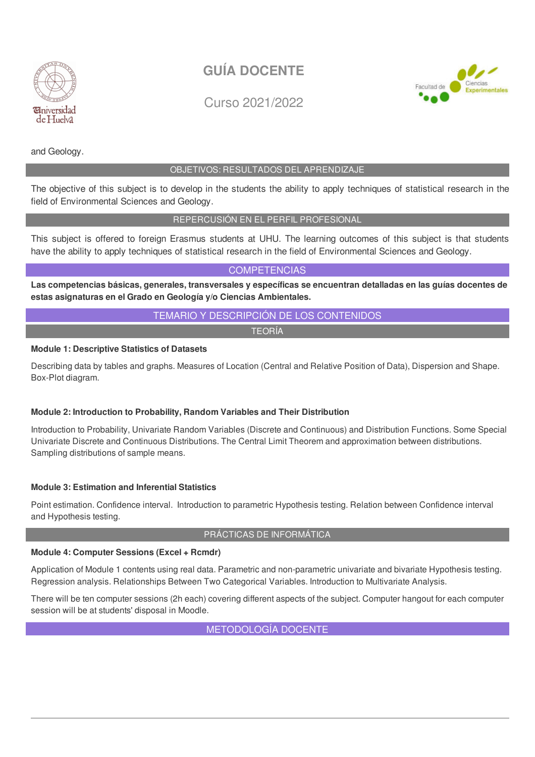

Ciencias

Evnerimentales

Facultad de

Curso 2021/2022



### OBJETIVOS: RESULTADOS DEL APRENDIZAJE

The objective of this subject is to develop in the students the ability to apply techniques of statistical research in the field of Environmental Sciences and Geology.

### REPERCUSIÓN EN EL PERFIL PROFESIONAL

This subject is offered to foreign Erasmus students at UHU. The learning outcomes of this subject is that students have the ability to apply techniques of statistical research in the field of Environmental Sciences and Geology.

**COMPETENCIAS** 

**Las competencias básicas, generales, transversales y específicas se encuentran detalladas en las guías docentes de estas asignaturas en el Grado en Geología y/o Ciencias Ambientales.**

### TEMARIO Y DESCRIPCIÓN DE LOS CONTENIDOS

TEORÍA

### **Module 1: Descriptive Statistics of Datasets**

Describing data by tables and graphs. Measures of Location (Central and Relative Position of Data), Dispersion and Shape. Box-Plot diagram.

### **Module 2: Introduction to Probability, Random Variables and Their Distribution**

Introduction to Probability, Univariate Random Variables (Discrete and Continuous) and Distribution Functions. Some Special Univariate Discrete and Continuous Distributions. The Central Limit Theorem and approximation between distributions. Sampling distributions of sample means.

### **Module 3: Estimation and Inferential Statistics**

Point estimation. Confidence interval. Introduction to parametric Hypothesis testing. Relation between Confidence interval and Hypothesis testing.

### PRÁCTICAS DE INFORMÁTICA

### **Module 4: Computer Sessions (Excel + Rcmdr)**

Application of Module 1 contents using real data. Parametric and non-parametric univariate and bivariate Hypothesis testing. Regression analysis. Relationships Between Two Categorical Variables. Introduction to Multivariate Analysis.

There will be ten computer sessions (2h each) covering different aspects of the subject. Computer hangout for each computer session will be at students' disposal in Moodle.

METODOLOGÍA DOCENTE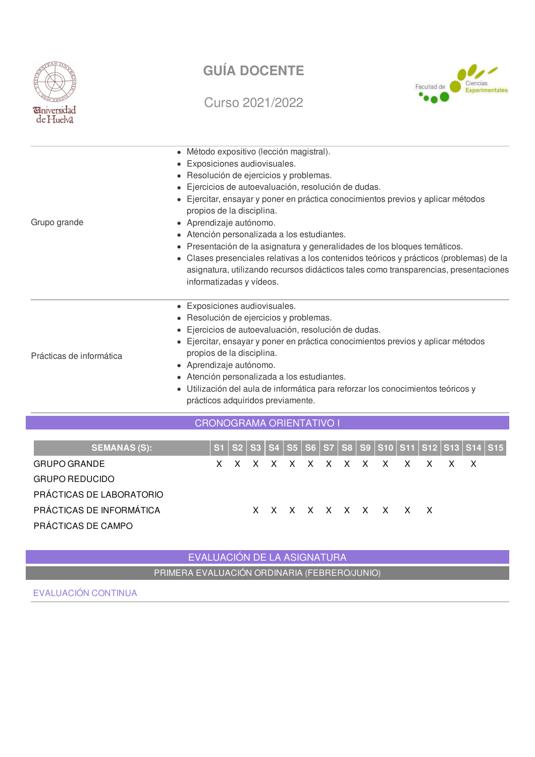

## Curso 2021/2022



| Grupo grande             | · Método expositivo (lección magistral).<br>• Exposiciones audiovisuales.<br>· Resolución de ejercicios y problemas.<br>· Ejercicios de autoevaluación, resolución de dudas.<br>• Ejercitar, ensayar y poner en práctica conocimientos previos y aplicar métodos<br>propios de la disciplina.<br>• Aprendizaje autónomo.<br>• Atención personalizada a los estudiantes.<br>• Presentación de la asignatura y generalidades de los bloques temáticos.<br>• Clases presenciales relativas a los contenidos teóricos y prácticos (problemas) de la<br>asignatura, utilizando recursos didácticos tales como transparencias, presentaciones<br>informatizadas y vídeos. |  |  |  |  |  |  |
|--------------------------|---------------------------------------------------------------------------------------------------------------------------------------------------------------------------------------------------------------------------------------------------------------------------------------------------------------------------------------------------------------------------------------------------------------------------------------------------------------------------------------------------------------------------------------------------------------------------------------------------------------------------------------------------------------------|--|--|--|--|--|--|
| Prácticas de informática | • Exposiciones audiovisuales.<br>· Resolución de ejercicios y problemas.<br>· Ejercicios de autoevaluación, resolución de dudas.<br>• Ejercitar, ensayar y poner en práctica conocimientos previos y aplicar métodos<br>propios de la disciplina.<br>• Aprendizaje autónomo.<br>• Atención personalizada a los estudiantes.<br>· Utilización del aula de informática para reforzar los conocimientos teóricos y<br>prácticos adquiridos previamente.                                                                                                                                                                                                                |  |  |  |  |  |  |
|                          | CRONOGRAMA ORIENTATIVO                                                                                                                                                                                                                                                                                                                                                                                                                                                                                                                                                                                                                                              |  |  |  |  |  |  |

| <b>SEMANAS (S):</b>      |  |  |  |  |  |                     |                             |  | S1   S2   S3   S4   S5   S6   S7   S8   S9   S10   S11   S12   S13   S14   S15 |
|--------------------------|--|--|--|--|--|---------------------|-----------------------------|--|--------------------------------------------------------------------------------|
| <b>GRUPO GRANDE</b>      |  |  |  |  |  |                     | x x x x x x x x x x x x x x |  |                                                                                |
| <b>GRUPO REDUCIDO</b>    |  |  |  |  |  |                     |                             |  |                                                                                |
| PRÁCTICAS DE LABORATORIO |  |  |  |  |  |                     |                             |  |                                                                                |
| PRÁCTICAS DE INFORMÁTICA |  |  |  |  |  | X X X X X X X X X X |                             |  |                                                                                |
| PRÁCTICAS DE CAMPO       |  |  |  |  |  |                     |                             |  |                                                                                |

## EVALUACIÓN DE LA ASIGNATURA PRIMERA EVALUACIÓN ORDINARIA (FEBRERO/JUNIO)

EVALUACIÓN CONTINUA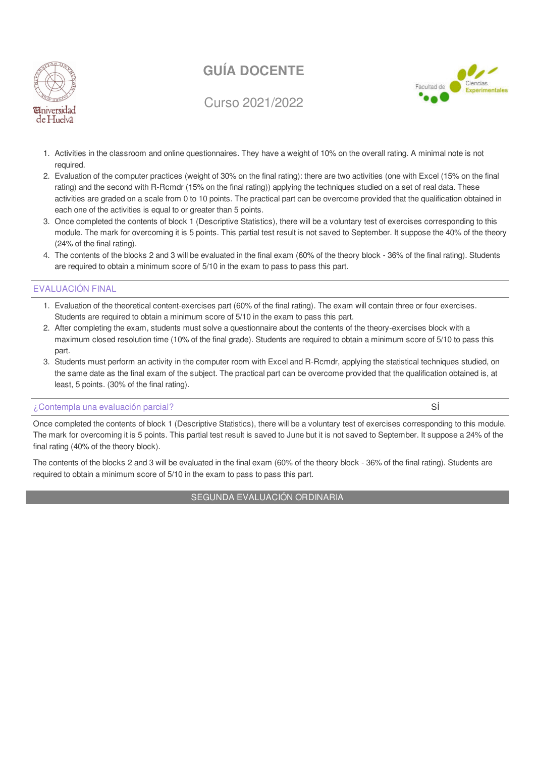

Curso 2021/2022



- 1. Activities in the classroom and online questionnaires. They have a weight of 10% on the overall rating. A minimal note is not required.
- 2. Evaluation of the computer practices (weight of 30% on the final rating): there are two activities (one with Excel (15% on the final rating) and the second with R-Rcmdr (15% on the final rating)) applying the techniques studied on a set of real data. These activities are graded on a scale from 0 to 10 points. The practical part can be overcome provided that the qualification obtained in each one of the activities is equal to or greater than 5 points.
- 3. Once completed the contents of block 1 (Descriptive Statistics), there will be a voluntary test of exercises corresponding to this module. The mark for overcoming it is 5 points. This partial test result is not saved to September. It suppose the 40% of the theory (24% of the final rating).
- 4. The contents of the blocks 2 and 3 will be evaluated in the final exam (60% of the theory block 36% of the final rating). Students are required to obtain a minimum score of 5/10 in the exam to pass to pass this part.

### EVALUACIÓN FINAL

- 1. Evaluation of the theoretical content-exercises part (60% of the final rating). The exam will contain three or four exercises. Students are required to obtain a minimum score of 5/10 in the exam to pass this part.
- 2. After completing the exam, students must solve a questionnaire about the contents of the theory-exercises block with a maximum closed resolution time (10% of the final grade). Students are required to obtain a minimum score of 5/10 to pass this part.
- 3. Students must perform an activity in the computer room with Excel and R-Rcmdr, applying the statistical techniques studied, on the same date as the final exam of the subject. The practical part can be overcome provided that the qualification obtained is, at least, 5 points. (30% of the final rating).

### ¿Contempla una evaluación parcial? Sí

Once completed the contents of block 1 (Descriptive Statistics), there will be a voluntary test of exercises corresponding to this module. The mark for overcoming it is 5 points. This partial test result is saved to June but it is not saved to September. It suppose a 24% of the final rating (40% of the theory block).

The contents of the blocks 2 and 3 will be evaluated in the final exam (60% of the theory block - 36% of the final rating). Students are required to obtain a minimum score of 5/10 in the exam to pass to pass this part.

### SEGUNDA EVALUACIÓN ORDINARIA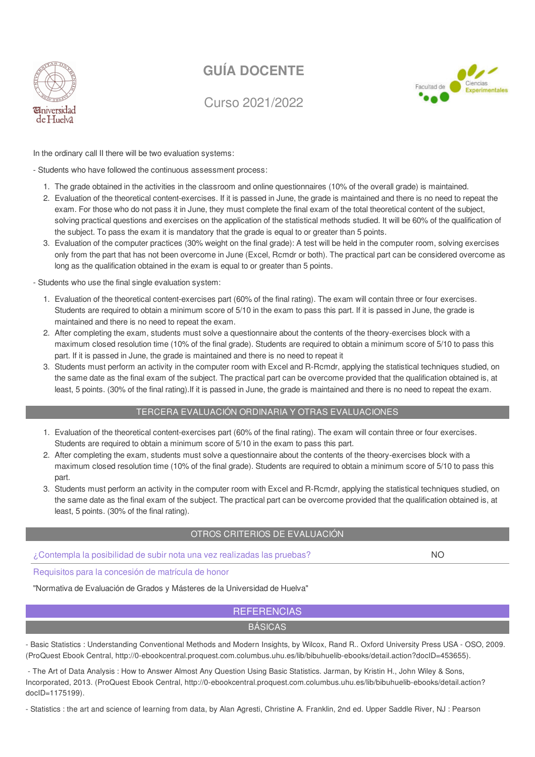

Curso 2021/2022



In the ordinary call II there will be two evaluation systems:

- Students who have followed the continuous assessment process:

- 1. The grade obtained in the activities in the classroom and online questionnaires (10% of the overall grade) is maintained.
- 2. Evaluation of the theoretical content-exercises. If it is passed in June, the grade is maintained and there is no need to repeat the exam. For those who do not pass it in June, they must complete the final exam of the total theoretical content of the subject, solving practical questions and exercises on the application of the statistical methods studied. It will be 60% of the qualification of the subject. To pass the exam it is mandatory that the grade is equal to or greater than 5 points.
- 3. Evaluation of the computer practices (30% weight on the final grade): A test will be held in the computer room, solving exercises only from the part that has not been overcome in June (Excel, Rcmdr or both). The practical part can be considered overcome as long as the qualification obtained in the exam is equal to or greater than 5 points.

- Students who use the final single evaluation system:

- 1. Evaluation of the theoretical content-exercises part (60% of the final rating). The exam will contain three or four exercises. Students are required to obtain a minimum score of 5/10 in the exam to pass this part. If it is passed in June, the grade is maintained and there is no need to repeat the exam.
- 2. After completing the exam, students must solve a questionnaire about the contents of the theory-exercises block with a maximum closed resolution time (10% of the final grade). Students are required to obtain a minimum score of 5/10 to pass this part. If it is passed in June, the grade is maintained and there is no need to repeat it
- 3. Students must perform an activity in the computer room with Excel and R-Rcmdr, applying the statistical techniques studied, on the same date as the final exam of the subject. The practical part can be overcome provided that the qualification obtained is, at least, 5 points. (30% of the final rating).If it is passed in June, the grade is maintained and there is no need to repeat the exam.

#### TERCERA EVALUACIÓN ORDINARIA Y OTRAS EVALUACIONES

- 1. Evaluation of the theoretical content-exercises part (60% of the final rating). The exam will contain three or four exercises. Students are required to obtain a minimum score of 5/10 in the exam to pass this part.
- 2. After completing the exam, students must solve a questionnaire about the contents of the theory-exercises block with a maximum closed resolution time (10% of the final grade). Students are required to obtain a minimum score of 5/10 to pass this part.
- 3. Students must perform an activity in the computer room with Excel and R-Rcmdr, applying the statistical techniques studied, on the same date as the final exam of the subject. The practical part can be overcome provided that the qualification obtained is, at least, 5 points. (30% of the final rating).

#### OTROS CRITERIOS DE EVALUACIÓN

¿Contempla la posibilidad de subir nota una vez realizadas las pruebas? NO

Requisitos para la concesión de matrícula de honor

"Normativa de Evaluación de Grados y Másteres de la Universidad de Huelva"

### **REFERENCIAS** BÁSICAS

- Basic Statistics : Understanding Conventional Methods and Modern Insights, by Wilcox, Rand R.. Oxford University Press USA - OSO, 2009. (ProQuest Ebook Central, http://0-ebookcentral.proquest.com.columbus.uhu.es/lib/bibuhuelib-ebooks/detail.action?docID=453655).

- The Art of Data Analysis : How to Answer Almost Any Question Using Basic Statistics. Jarman, by Kristin H., John Wiley & Sons, Incorporated, 2013. (ProQuest Ebook Central, http://0-ebookcentral.proquest.com.columbus.uhu.es/lib/bibuhuelib-ebooks/detail.action? docID=1175199).

- Statistics : the art and science of learning from data, by Alan Agresti, Christine A. Franklin, 2nd ed. Upper Saddle River, NJ : Pearson